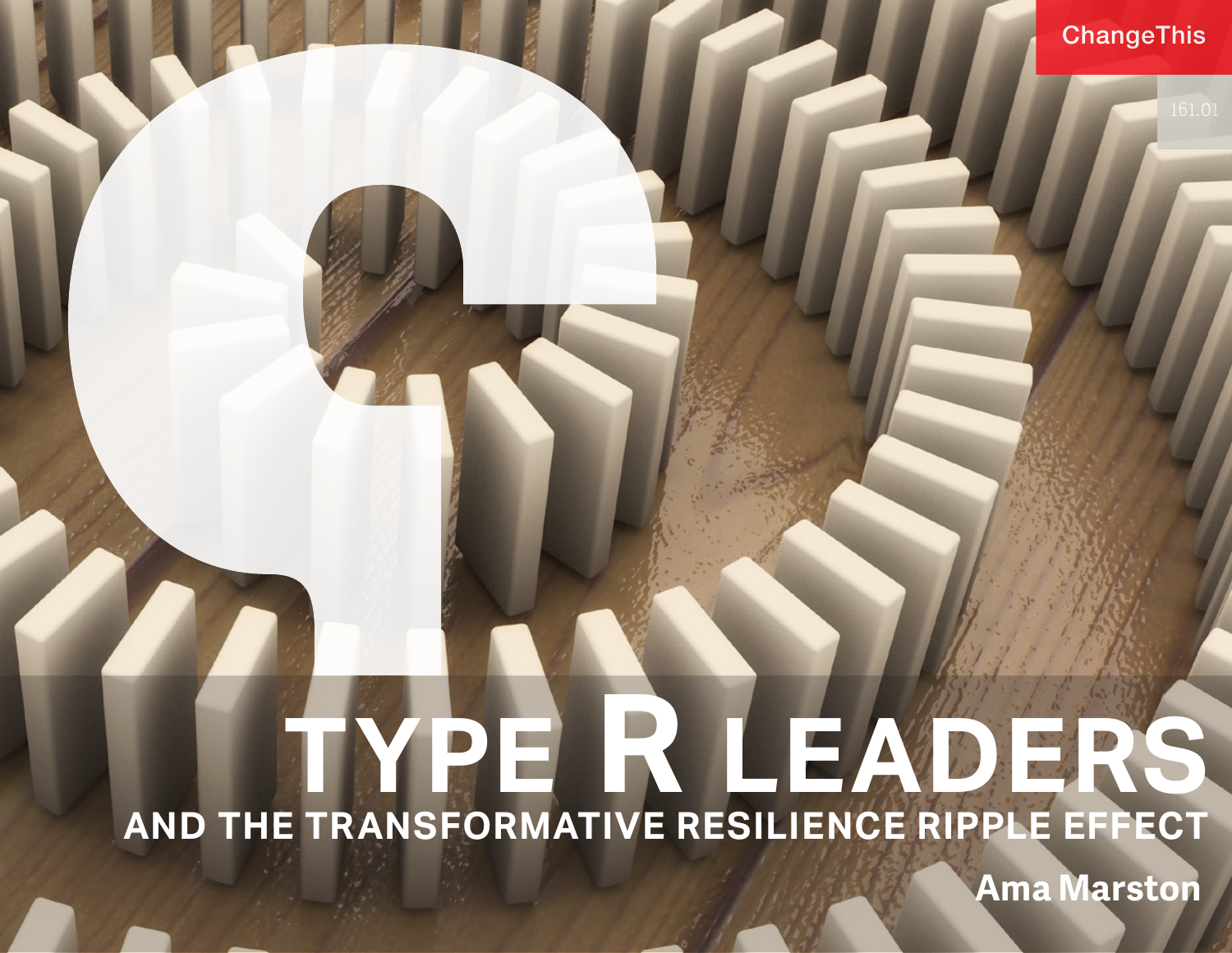# **TYPE R LEADERS AND THE TRANSFORMATIVE RESILIENCE RIPPLE EFFECT**

**Ama Marston**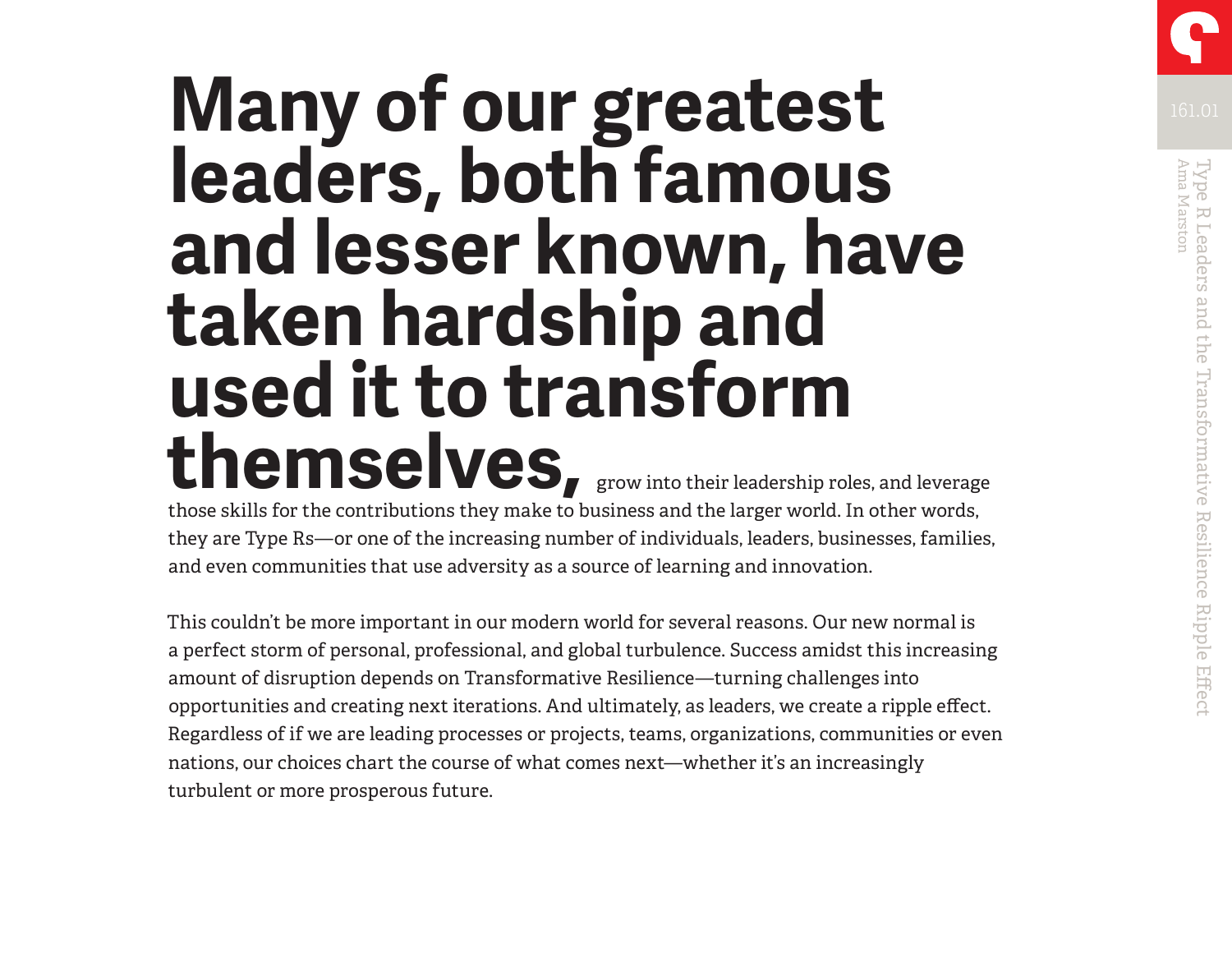# **Many of our greatest Many of**  $\frac{161.01}{161.01}$ **leaders, both famous and lesser known, have taken hardship and used it to transform**  themselves, grow into their leadership roles, and leverage

those skills for the contributions they make to business and the larger world. In other words, they are Type Rs—or one of the increasing number of individuals, leaders, businesses, families, and even communities that use adversity as a source of learning and innovation.

This couldn't be more important in our modern world for several reasons. Our new normal is a perfect storm of personal, professional, and global turbulence. Success amidst this increasing amount of disruption depends on Transformative Resilience—turning challenges into opportunities and creating next iterations. And ultimately, as leaders, we create a ripple effect. Regardless of if we are leading processes or projects, teams, organizations, communities or even nations, our choices chart the course of what comes next—whether it's an increasingly turbulent or more prosperous future.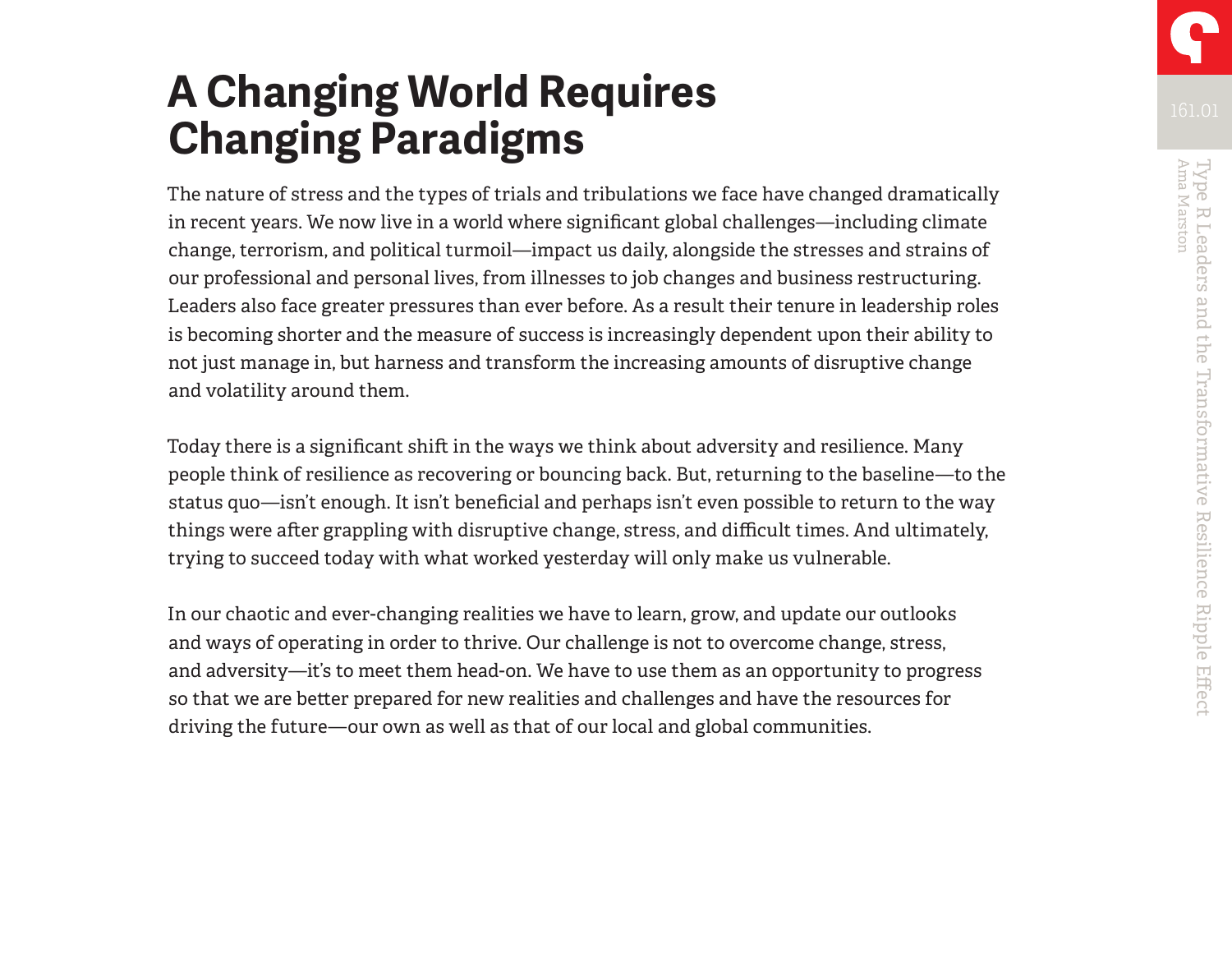# **A Changing World Requires Changing Paradigms**

The nature of stress and the types of trials and tribulations we face have changed dramatically in recent years. We now live in a world where significant global challenges—including climate change, terrorism, and political turmoil—impact us daily, alongside the stresses and strains of our professional and personal lives, from illnesses to job changes and business restructuring. Leaders also face greater pressures than ever before. As a result their tenure in leadership roles is becoming shorter and the measure of success is increasingly dependent upon their ability to not just manage in, but harness and transform the increasing amounts of disruptive change and volatility around them.

Today there is a significant shift in the ways we think about adversity and resilience. Many people think of resilience as recovering or bouncing back. But, returning to the baseline—to the status quo—isn't enough. It isn't beneficial and perhaps isn't even possible to return to the way things were after grappling with disruptive change, stress, and difficult times. And ultimately, trying to succeed today with what worked yesterday will only make us vulnerable.

In our chaotic and ever-changing realities we have to learn, grow, and update our outlooks and ways of operating in order to thrive. Our challenge is not to overcome change, stress, and adversity—it's to meet them head-on. We have to use them as an opportunity to progress so that we are better prepared for new realities and challenges and have the resources for driving the future—our own as well as that of our local and global communities.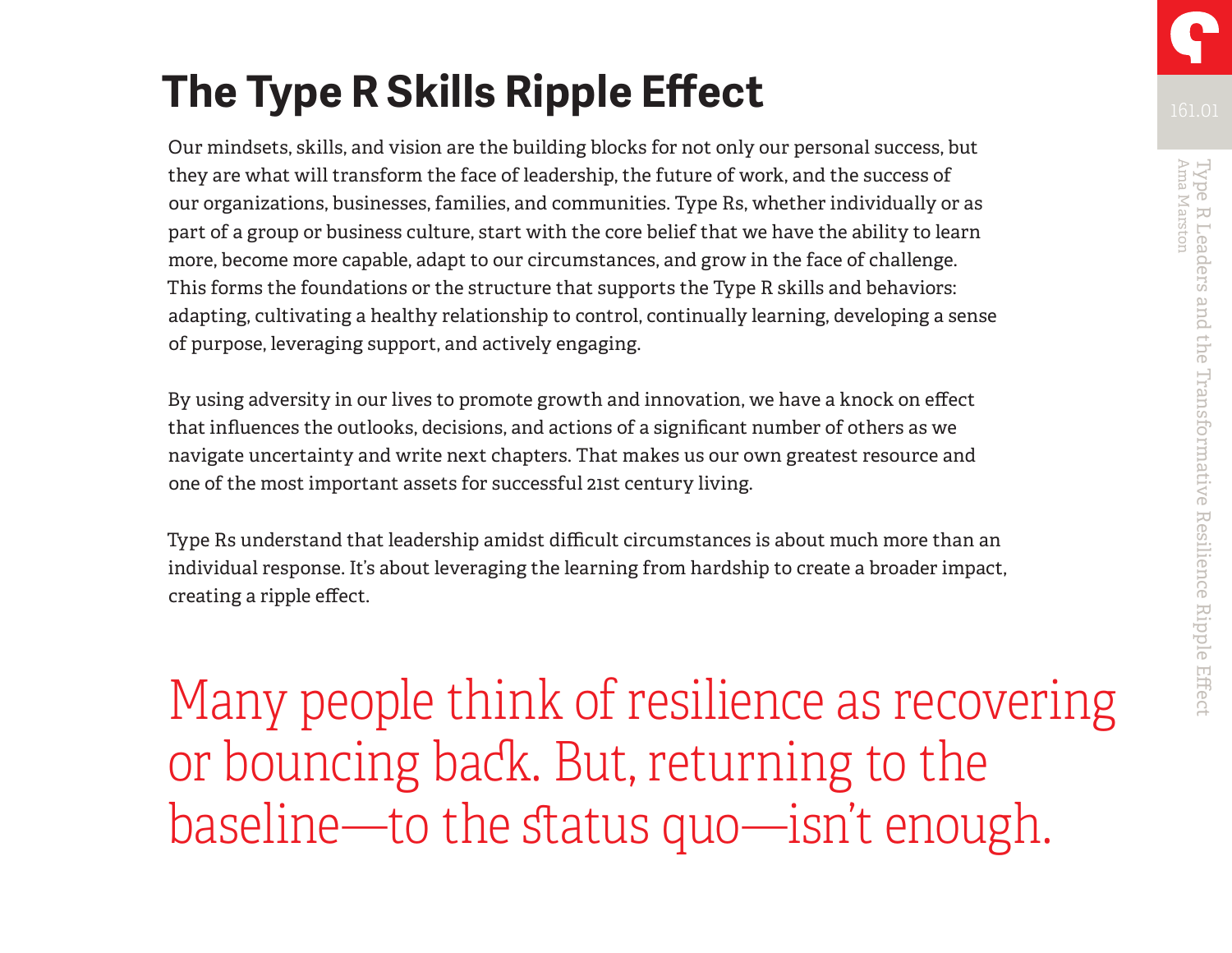Our mindsets, skills, and vision are the building blocks for not only our personal success, but they are what will transform the face of leadership, the future of work, and the success of our organizations, businesses, families, and communities. Type Rs, whether individually or as part of a group or business culture, start with the core belief that we have the ability to learn more, become more capable, adapt to our circumstances, and grow in the face of challenge. This forms the foundations or the structure that supports the Type R skills and behaviors: adapting, cultivating a healthy relationship to control, continually learning, developing a sense of purpose, leveraging support, and actively engaging.

By using adversity in our lives to promote growth and innovation, we have a knock on effect that influences the outlooks, decisions, and actions of a significant number of others as we navigate uncertainty and write next chapters. That makes us our own greatest resource and one of the most important assets for successful 21st century living.

Type Rs understand that leadership amidst difficult circumstances is about much more than an individual response. It's about leveraging the learning from hardship to create a broader impact, creating a ripple effect.

Many people think of resilience as recovering or bouncing back. But, returning to the baseline—to the status quo—isn't enough.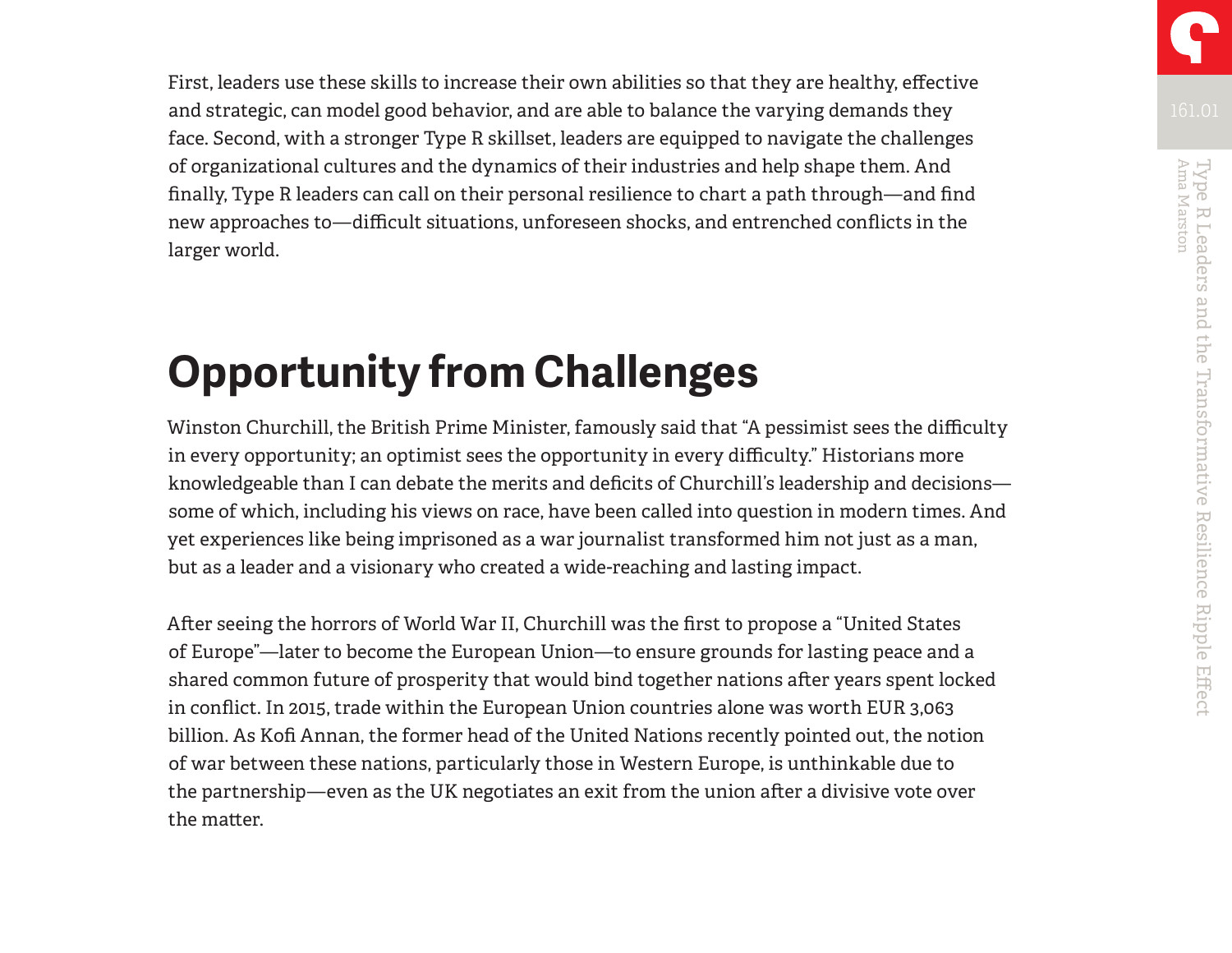First, leaders use these skills to increase their own abilities so that they are healthy, effective and strategic, can model good behavior, and are able to balance the varying demands they face. Second, with a stronger Type R skillset, leaders are equipped to navigate the challenges of organizational cultures and the dynamics of their industries and help shape them. And finally, Type R leaders can call on their personal resilience to chart a path through—and find new approaches to—difficult situations, unforeseen shocks, and entrenched conflicts in the larger world.

# **Opportunity from Challenges**

Winston Churchill, the British Prime Minister, famously said that "A pessimist sees the difficulty in every opportunity; an optimist sees the opportunity in every difficulty." Historians more knowledgeable than I can debate the merits and deficits of Churchill's leadership and decisions some of which, including his views on race, have been called into question in modern times. And yet experiences like being imprisoned as a war journalist transformed him not just as a man, but as a leader and a visionary who created a wide-reaching and lasting impact.

After seeing the horrors of World War II, Churchill was the first to propose a "United States of Europe"—later to become the European Union—to ensure grounds for lasting peace and a shared common future of prosperity that would bind together nations after years spent locked in conflict. In 2015, trade within the European Union countries alone was worth EUR 3,063 billion. As Kofi Annan, the former head of the United Nations recently pointed out, the notion of war between these nations, particularly those in Western Europe, is unthinkable due to the partnership—even as the UK negotiates an exit from the union after a divisive vote over the matter.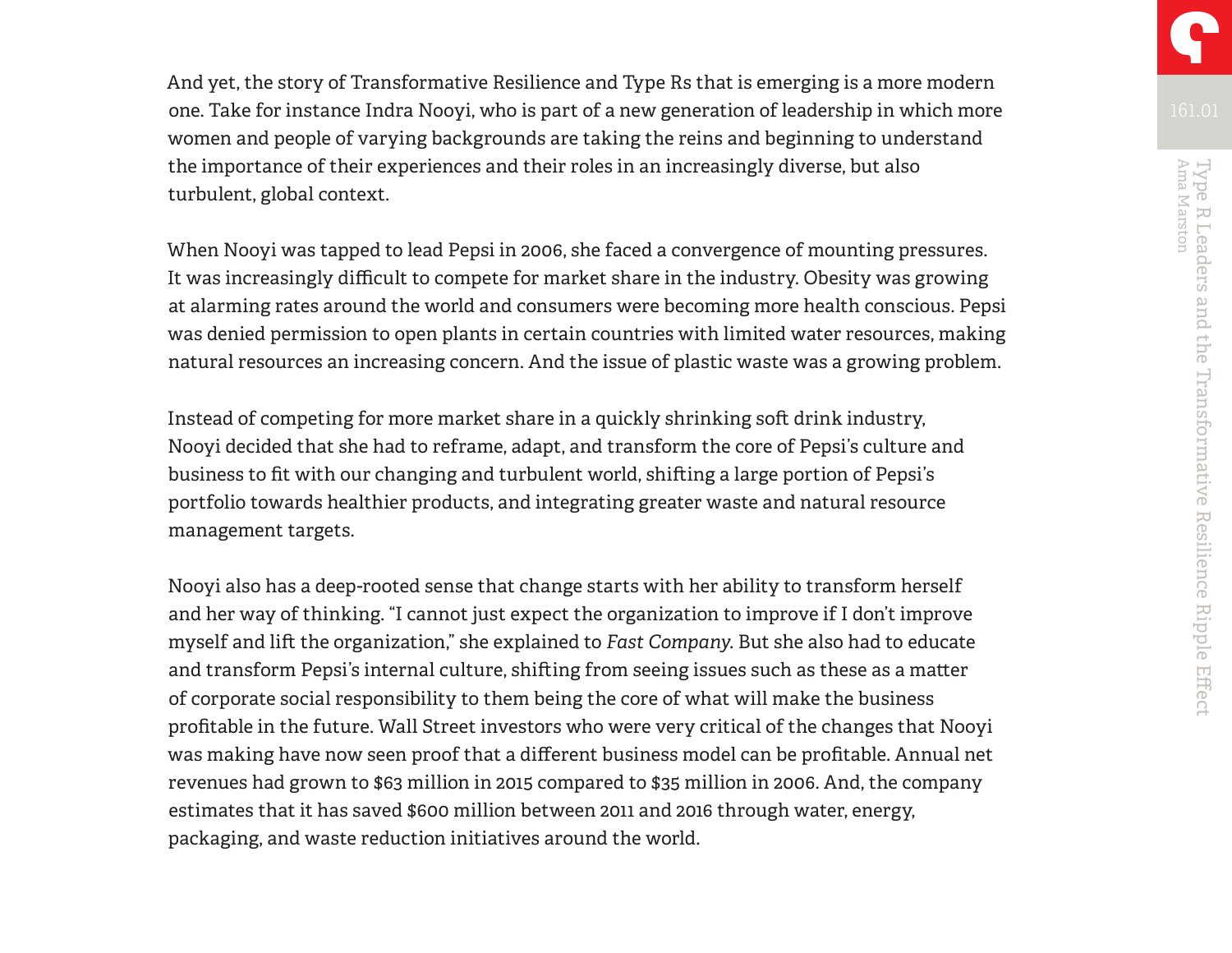And yet, the story of Transformative Resilience and Type Rs that is emerging is a more modern one. Take for instance Indra Nooyi, who is part of a new generation of leadership in which more women and people of varying backgrounds are taking the reins and beginning to understand the importance of their experiences and their roles in an increasingly diverse, but also turbulent, global context.

When Nooyi was tapped to lead Pepsi in 2006, she faced a convergence of mounting pressures. It was increasingly difficult to compete for market share in the industry. Obesity was growing at alarming rates around the world and consumers were becoming more health conscious. Pepsi was denied permission to open plants in certain countries with limited water resources, making natural resources an increasing concern. And the issue of plastic waste was a growing problem.

Instead of competing for more market share in a quickly shrinking soft drink industry, Nooyi decided that she had to reframe, adapt, and transform the core of Pepsi's culture and business to fit with our changing and turbulent world, shifting a large portion of Pepsi's portfolio towards healthier products, and integrating greater waste and natural resource management targets.

Nooyi also has a deep-rooted sense that change starts with her ability to transform herself and her way of thinking. "I cannot just expect the organization to improve if I don't improve myself and lift the organization," she explained to *Fast Company*. But she also had to educate and transform Pepsi's internal culture, shifting from seeing issues such as these as a matter of corporate social responsibility to them being the core of what will make the business profitable in the future. Wall Street investors who were very critical of the changes that Nooyi was making have now seen proof that a different business model can be profitable. Annual net revenues had grown to \$63 million in 2015 compared to \$35 million in 2006. And, the company estimates that it has saved \$600 million between 2011 and 2016 through water, energy, packaging, and waste reduction initiatives around the world.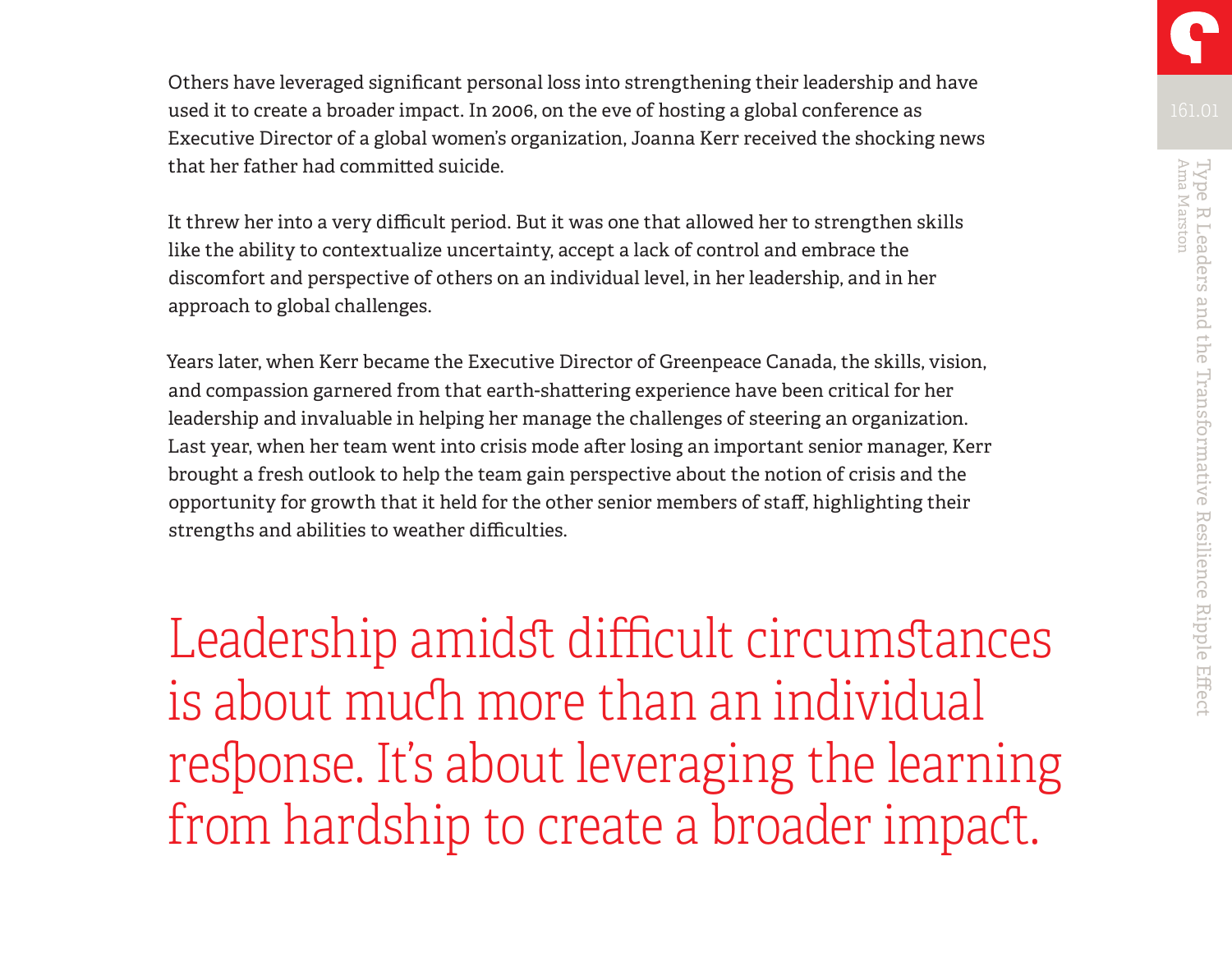Others have leveraged significant personal loss into strengthening their leadership and have used it to create a broader impact. In 2006, on the eve of hosting a global conference as Executive Director of a global women's organization, Joanna Kerr received the shocking news that her father had committed suicide.

It threw her into a very difficult period. But it was one that allowed her to strengthen skills like the ability to contextualize uncertainty, accept a lack of control and embrace the discomfort and perspective of others on an individual level, in her leadership, and in her approach to global challenges.

Years later, when Kerr became the Executive Director of Greenpeace Canada, the skills, vision, and compassion garnered from that earth-shattering experience have been critical for her leadership and invaluable in helping her manage the challenges of steering an organization. Last year, when her team went into crisis mode after losing an important senior manager, Kerr brought a fresh outlook to help the team gain perspective about the notion of crisis and the opportunity for growth that it held for the other senior members of staff, highlighting their strengths and abilities to weather difficulties.

Leadership amidst difficult circumstances is about much more than an individual response. It's about leveraging the learning from hardship to create a broader impact.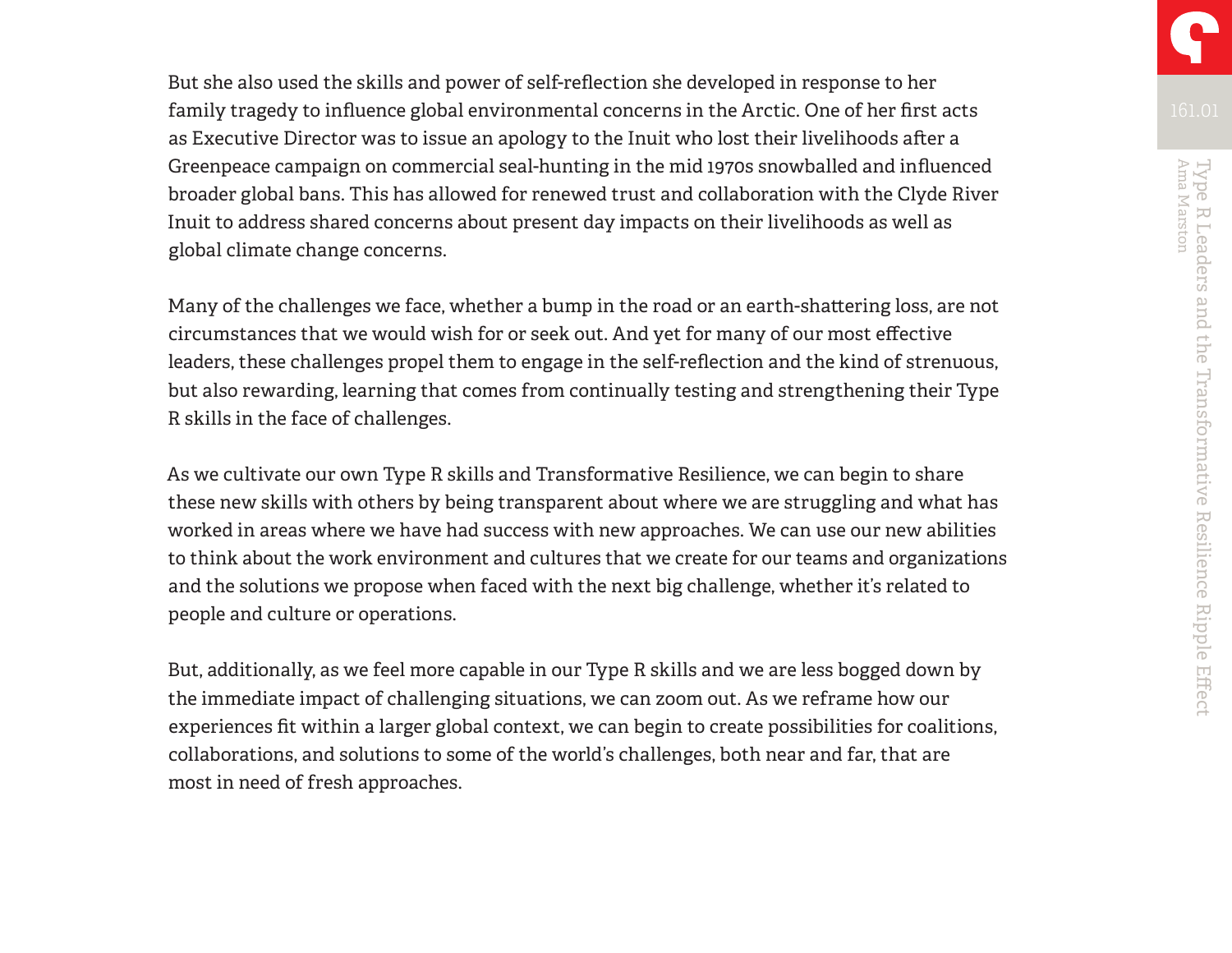But she also used the skills and power of self-reflection she developed in response to her family tragedy to influence global environmental concerns in the Arctic. One of her first acts as Executive Director was to issue an apology to the Inuit who lost their livelihoods after a Greenpeace campaign on commercial seal-hunting in the mid 1970s snowballed and influenced broader global bans. This has allowed for renewed trust and collaboration with the Clyde River Inuit to address shared concerns about present day impacts on their livelihoods as well as global climate change concerns.

Many of the challenges we face, whether a bump in the road or an earth-shattering loss, are not circumstances that we would wish for or seek out. And yet for many of our most effective leaders, these challenges propel them to engage in the self-reflection and the kind of strenuous, but also rewarding, learning that comes from continually testing and strengthening their Type R skills in the face of challenges.

As we cultivate our own Type R skills and Transformative Resilience, we can begin to share these new skills with others by being transparent about where we are struggling and what has worked in areas where we have had success with new approaches. We can use our new abilities to think about the work environment and cultures that we create for our teams and organizations and the solutions we propose when faced with the next big challenge, whether it's related to people and culture or operations.

But, additionally, as we feel more capable in our Type R skills and we are less bogged down by the immediate impact of challenging situations, we can zoom out. As we reframe how our experiences fit within a larger global context, we can begin to create possibilities for coalitions, collaborations, and solutions to some of the world's challenges, both near and far, that are most in need of fresh approaches.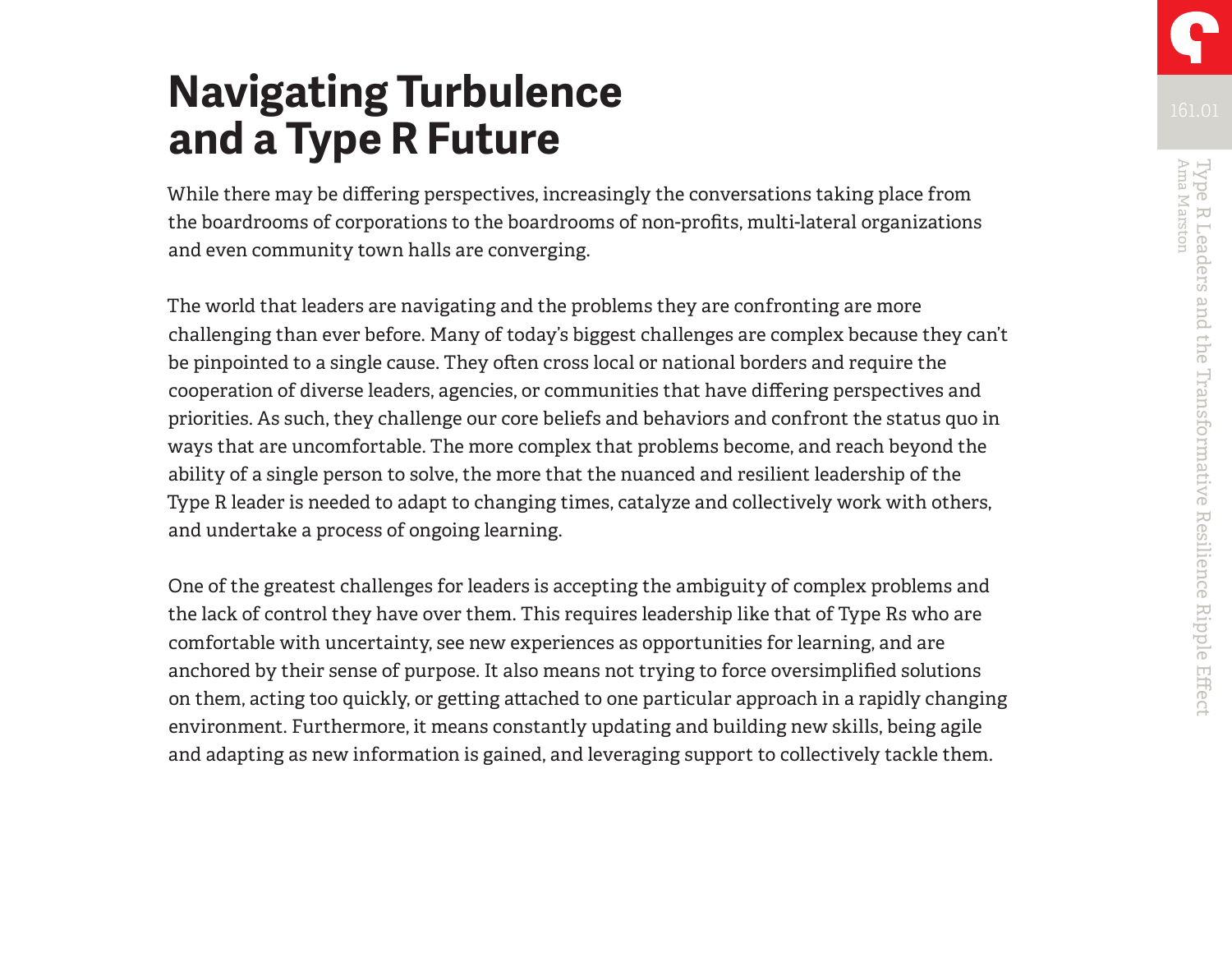# **Navigating Turbulence and a Type R Future**

While there may be differing perspectives, increasingly the conversations taking place from the boardrooms of corporations to the boardrooms of non-profits, multi-lateral organizations and even community town halls are converging.

The world that leaders are navigating and the problems they are confronting are more challenging than ever before. Many of today's biggest challenges are complex because they can't be pinpointed to a single cause. They often cross local or national borders and require the cooperation of diverse leaders, agencies, or communities that have differing perspectives and priorities. As such, they challenge our core beliefs and behaviors and confront the status quo in ways that are uncomfortable. The more complex that problems become, and reach beyond the ability of a single person to solve, the more that the nuanced and resilient leadership of the Type R leader is needed to adapt to changing times, catalyze and collectively work with others, and undertake a process of ongoing learning.

One of the greatest challenges for leaders is accepting the ambiguity of complex problems and the lack of control they have over them. This requires leadership like that of Type Rs who are comfortable with uncertainty, see new experiences as opportunities for learning, and are anchored by their sense of purpose. It also means not trying to force oversimplified solutions on them, acting too quickly, or getting attached to one particular approach in a rapidly changing environment. Furthermore, it means constantly updating and building new skills, being agile and adapting as new information is gained, and leveraging support to collectively tackle them.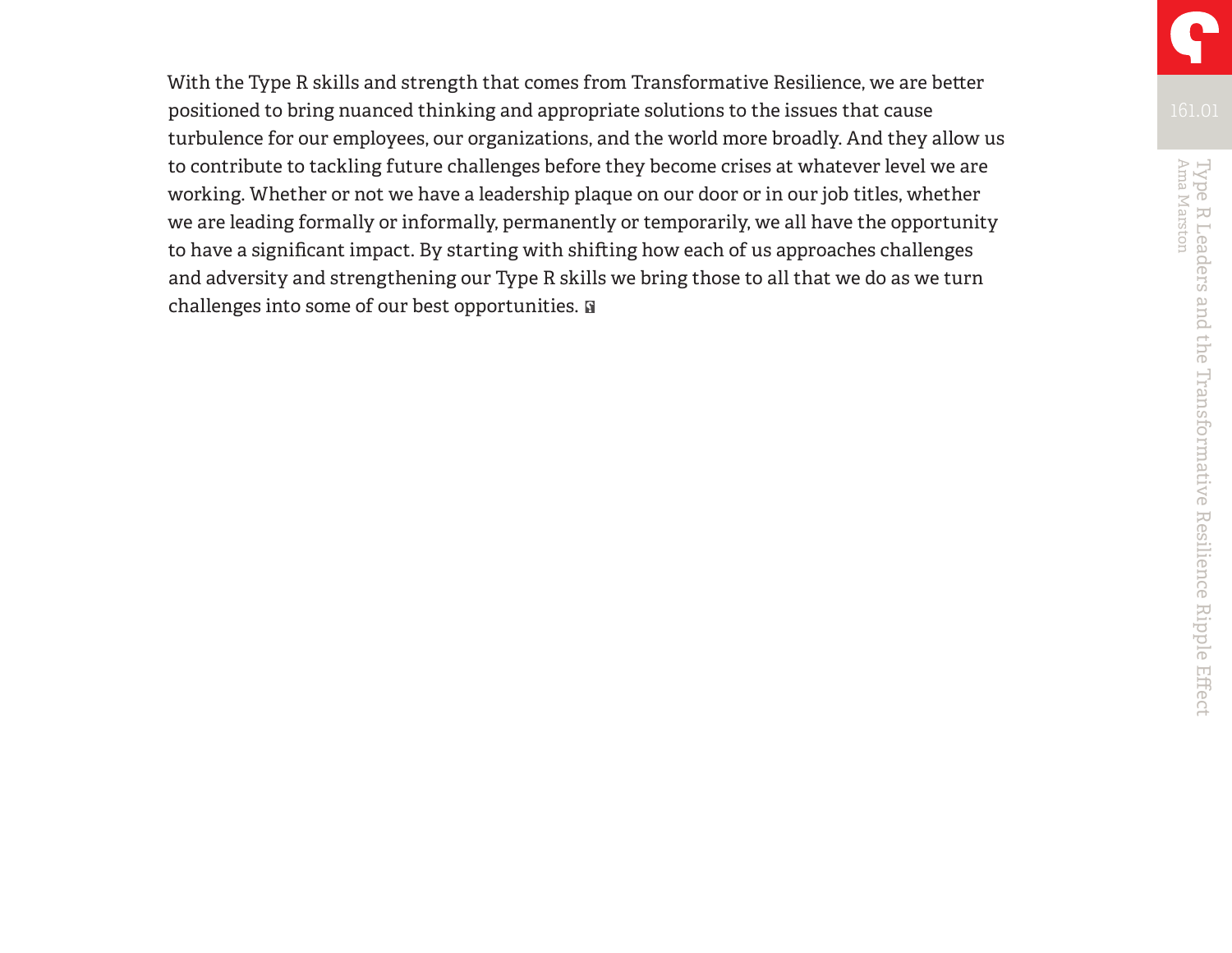With the Type R skills and strength that comes from Transformative Resilience, we are better positioned to bring nuanced thinking and appropriate solutions to the issues that cause turbulence for our employees, our organizations, and the world more broadly. And they allow us to contribute to tackling future challenges before they become crises at whatever level we are working. Whether or not we have a leadership plaque on our door or in our job titles, whether we are leading formally or informally, permanently or temporarily, we all have the opportunity to have a significant impact. By starting with shifting how each of us approaches challenges and adversity and strengthening our Type R skills we bring those to all that we do as we turn challenges into some of our best opportunities.